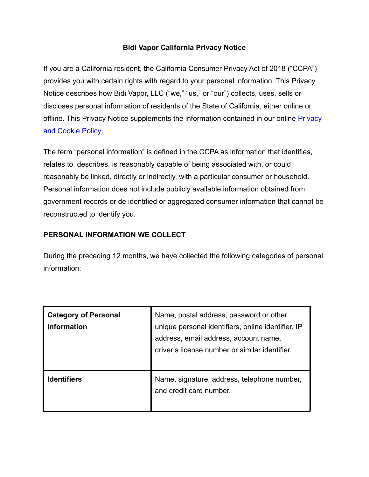### **Bidi Vapor California Privacy Notice**

If you are a California resident, the California Consumer Privacy Act of 2018 ("CCPA") provides you with certain rights with regard to your personal information. This Privacy Notice describes how Bidi Vapor, LLC ("we," "us," or "our") collects, uses, sells or discloses personal information of residents of the State of California, either online or offline. This [Privacy](https://bidicares.com/privacy-policy/) Notice supplements the information contained in our online Privacy [and Cookie Policy.](https://bidicares.com/privacy-policy/)

The term "personal information" is defined in the CCPA as information that identifies, relates to, describes, is reasonably capable of being associated with, or could reasonably be linked, directly or indirectly, with a particular consumer or household. Personal information does not include publicly available information obtained from government records or de identified or aggregated consumer information that cannot be reconstructed to identify you.

## **PERSONAL INFORMATION WE COLLECT**

During the preceding 12 months, we have collected the following categories of personal information:

| <b>Category of Personal</b><br><b>Information</b> | Name, postal address, password or other<br>unique personal identifiers, online identifier, IP<br>address, email address, account name,<br>driver's license number or similar identifier. |
|---------------------------------------------------|------------------------------------------------------------------------------------------------------------------------------------------------------------------------------------------|
| <b>Identifiers</b>                                | Name, signature, address, telephone number,<br>and credit card number.                                                                                                                   |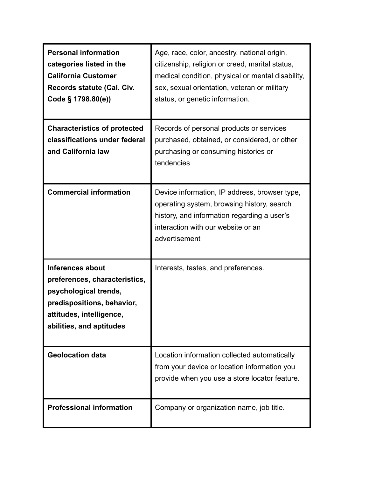| <b>Personal information</b><br>categories listed in the<br><b>California Customer</b><br>Records statute (Cal. Civ.<br>Code § 1798.80(e))                        | Age, race, color, ancestry, national origin,<br>citizenship, religion or creed, marital status,<br>medical condition, physical or mental disability,<br>sex, sexual orientation, veteran or military<br>status, or genetic information. |
|------------------------------------------------------------------------------------------------------------------------------------------------------------------|-----------------------------------------------------------------------------------------------------------------------------------------------------------------------------------------------------------------------------------------|
| <b>Characteristics of protected</b><br>classifications under federal<br>and California law                                                                       | Records of personal products or services<br>purchased, obtained, or considered, or other<br>purchasing or consuming histories or<br>tendencies                                                                                          |
| <b>Commercial information</b>                                                                                                                                    | Device information, IP address, browser type,<br>operating system, browsing history, search<br>history, and information regarding a user's<br>interaction with our website or an<br>advertisement                                       |
| Inferences about<br>preferences, characteristics,<br>psychological trends,<br>predispositions, behavior,<br>attitudes, intelligence,<br>abilities, and aptitudes | Interests, tastes, and preferences.                                                                                                                                                                                                     |
| <b>Geolocation data</b>                                                                                                                                          | Location information collected automatically<br>from your device or location information you<br>provide when you use a store locator feature.                                                                                           |
| <b>Professional information</b>                                                                                                                                  | Company or organization name, job title.                                                                                                                                                                                                |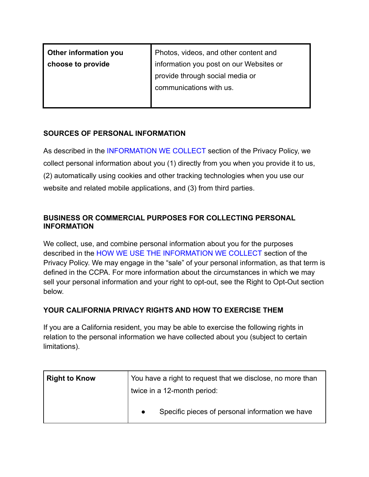| Other information you | Photos, videos, and other content and   |
|-----------------------|-----------------------------------------|
| choose to provide     | information you post on our Websites or |
|                       | provide through social media or         |
|                       | communications with us.                 |
|                       |                                         |

### **SOURCES OF PERSONAL INFORMATION**

As described in the [INFORMATION WE COLLECT](https://bidicares.com/privacy-policy#information-we-collect) section of the Privacy Policy, we collect personal information about you (1) directly from you when you provide it to us, (2) automatically using cookies and other tracking technologies when you use our website and related mobile applications, and (3) from third parties.

# **BUSINESS OR COMMERCIAL PURPOSES FOR COLLECTING PERSONAL INFORMATION**

We collect, use, and combine personal information about you for the purposes described in the [HOW WE USE THE INFORMATION WE COLLECT](https://bidicares.com/privacy-policy#how-we-use-the-information-we-collect) section of the Privacy Policy. We may engage in the "sale" of your personal information, as that term is defined in the CCPA. For more information about the circumstances in which we may sell your personal information and your right to opt-out, see the Right to Opt-Out section below.

# **YOUR CALIFORNIA PRIVACY RIGHTS AND HOW TO EXERCISE THEM**

If you are a California resident, you may be able to exercise the following rights in relation to the personal information we have collected about you (subject to certain limitations).

| <b>Right to Know</b> | You have a right to request that we disclose, no more than<br>twice in a 12-month period: |
|----------------------|-------------------------------------------------------------------------------------------|
|                      | Specific pieces of personal information we have<br>$\bullet$                              |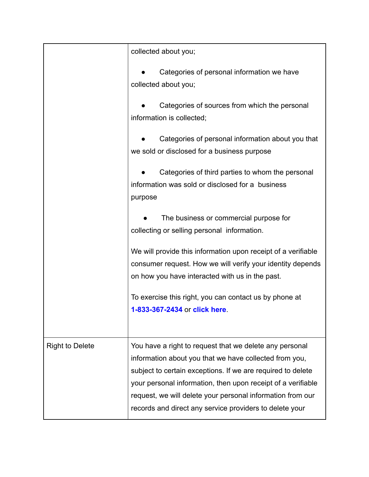|                        | collected about you;                                                                                                                                                                                                                                                                                                                                                      |
|------------------------|---------------------------------------------------------------------------------------------------------------------------------------------------------------------------------------------------------------------------------------------------------------------------------------------------------------------------------------------------------------------------|
|                        | Categories of personal information we have<br>collected about you;                                                                                                                                                                                                                                                                                                        |
|                        | Categories of sources from which the personal<br>information is collected;                                                                                                                                                                                                                                                                                                |
|                        | Categories of personal information about you that<br>we sold or disclosed for a business purpose                                                                                                                                                                                                                                                                          |
|                        | Categories of third parties to whom the personal<br>information was sold or disclosed for a business<br>purpose                                                                                                                                                                                                                                                           |
|                        | The business or commercial purpose for<br>collecting or selling personal information.                                                                                                                                                                                                                                                                                     |
|                        | We will provide this information upon receipt of a verifiable<br>consumer request. How we will verify your identity depends<br>on how you have interacted with us in the past.                                                                                                                                                                                            |
|                        | To exercise this right, you can contact us by phone at<br>1-833-367-2434 or click here.                                                                                                                                                                                                                                                                                   |
| <b>Right to Delete</b> | You have a right to request that we delete any personal<br>information about you that we have collected from you,<br>subject to certain exceptions. If we are required to delete<br>your personal information, then upon receipt of a verifiable<br>request, we will delete your personal information from our<br>records and direct any service providers to delete your |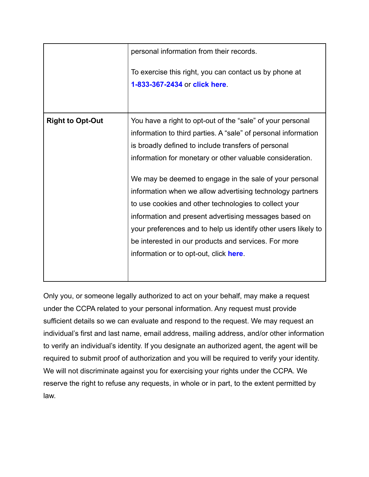|                         | personal information from their records.                                                                                                                                                                                                                                                                                                                                                                                                                                                                                                                                                                                                                       |
|-------------------------|----------------------------------------------------------------------------------------------------------------------------------------------------------------------------------------------------------------------------------------------------------------------------------------------------------------------------------------------------------------------------------------------------------------------------------------------------------------------------------------------------------------------------------------------------------------------------------------------------------------------------------------------------------------|
|                         | To exercise this right, you can contact us by phone at<br>1-833-367-2434 or click here                                                                                                                                                                                                                                                                                                                                                                                                                                                                                                                                                                         |
| <b>Right to Opt-Out</b> | You have a right to opt-out of the "sale" of your personal<br>information to third parties. A "sale" of personal information<br>is broadly defined to include transfers of personal<br>information for monetary or other valuable consideration.<br>We may be deemed to engage in the sale of your personal<br>information when we allow advertising technology partners<br>to use cookies and other technologies to collect your<br>information and present advertising messages based on<br>your preferences and to help us identify other users likely to<br>be interested in our products and services. For more<br>information or to opt-out, click here. |

Only you, or someone legally authorized to act on your behalf, may make a request under the CCPA related to your personal information. Any request must provide sufficient details so we can evaluate and respond to the request. We may request an individual's first and last name, email address, mailing address, and/or other information to verify an individual's identity. If you designate an authorized agent, the agent will be required to submit proof of authorization and you will be required to verify your identity. We will not discriminate against you for exercising your rights under the CCPA. We reserve the right to refuse any requests, in whole or in part, to the extent permitted by law.